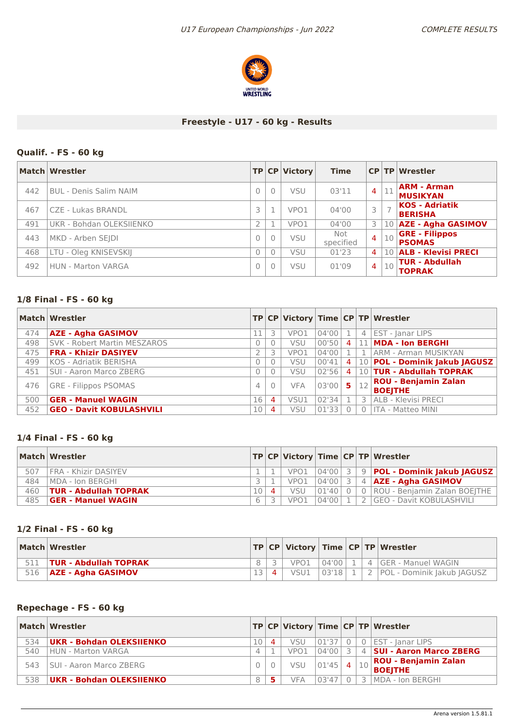

### **Freestyle - U17 - 60 kg - Results**

# **Qualif. - FS - 60 kg**

|     | Match Wrestler                |          |          | TP CP Victory | <b>Time</b>      |                |    | CP TP Wrestler                          |
|-----|-------------------------------|----------|----------|---------------|------------------|----------------|----|-----------------------------------------|
| 442 | <b>BUL - Denis Salim NAIM</b> | $\Omega$ | 0        | <b>VSU</b>    | 03'11            | $\overline{4}$ | 11 | <b>ARM - Arman</b><br><b>MUSIKYAN</b>   |
| 467 | CZE - Lukas BRANDL            |          |          | VPO1          | 04'00            |                |    | <b>KOS - Adriatik</b><br><b>BERISHA</b> |
| 491 | UKR - Bohdan OLEKSIJENKO      |          |          | VPO1          | 04'00            | 3              | 10 | <b>AZE - Agha GASIMOV</b>               |
| 443 | MKD - Arben SEJDI             | $\Omega$ | 0        | <b>VSU</b>    | Not<br>specified | $\overline{4}$ | 10 | <b>GRE - Filippos</b><br><b>PSOMAS</b>  |
| 468 | LTU - Oleg KNISEVSKIJ         |          | 0        | <b>VSU</b>    | 01'23            | $\overline{a}$ | 10 | <b>ALB - Klevisi PRECI</b>              |
| 492 | HUN - Marton VARGA            | 0        | $\Omega$ | <b>VSU</b>    | 01'09            | $\overline{4}$ | 10 | <b>TUR - Abdullah</b><br><b>TOPRAK</b>  |

### **1/8 Final - FS - 60 kg**

|     | Match Wrestler                  |          |                |            |       |                | TP CP Victory Time CP TP Wrestler                                    |
|-----|---------------------------------|----------|----------------|------------|-------|----------------|----------------------------------------------------------------------|
| 474 | <b>AZE - Agha GASIMOV</b>       | 11       |                | VPO1       | 04'00 |                | 4 EST - Janar LIPS                                                   |
| 498 | SVK - Robert Martin MESZAROS    | 0        |                | <b>VSU</b> | 00'50 | $\overline{4}$ | 11 MDA - Ion BERGHI                                                  |
| 475 | <b>FRA - Khizir DASIYEV</b>     |          |                | VPO1       | 04'00 |                | 1   ARM - Arman MUSIKYAN                                             |
| 499 | KOS - Adriatik BERISHA          | $\Omega$ |                | <b>VSU</b> | 00'41 | $\overline{4}$ | 10 <b>POL - Dominik Jakub JAGUSZ</b>                                 |
| 451 | SUI - Aaron Marco ZBERG         | $\Omega$ |                | <b>VSU</b> | 02'56 | $\overline{4}$ | 10 TUR - Abdullah TOPRAK                                             |
| 476 | <b>GRE - Filippos PSOMAS</b>    | 4        | $\Omega$       | <b>VFA</b> | 03'00 | -5             | $\left  \frac{1}{12} \right $ ROU - Benjamin Zalan<br><b>BOEJTHE</b> |
| 500 | <b>GER - Manuel WAGIN</b>       | 16       | 4              | VSU1       | 02'34 |                | 3   ALB - Klevisi PRECI                                              |
| 452 | <b>GEO - Davit KOBULASHVILI</b> | 10       | $\overline{4}$ | <b>VSU</b> | 01'33 |                | 0   ITA - Matteo MINI                                                |

#### **1/4 Final - FS - 60 kg**

|     | Match Wrestler               |   |           |      |           |  | TP   CP   Victory   Time   CP   TP   Wrestler    |
|-----|------------------------------|---|-----------|------|-----------|--|--------------------------------------------------|
| 507 | FRA - Khizir DASIYEV         |   |           | VPO1 |           |  | 04'00  3   9   <b>POL - Dominik Jakub JAGUSZ</b> |
| 484 | IMDA - Ion BERGHI            |   |           | VPO1 | $04'00$ 3 |  | 4 AZE - Agha GASIMOV                             |
| 460 | <b>TUR - Abdullah TOPRAK</b> |   | $\Lambda$ | VSU  | 01'40 0   |  | 0   ROU - Benjamin Zalan BOEJTHE                 |
| 485 | <b>GER - Manuel WAGIN</b>    | 6 |           | VPO1 | 04'00     |  | 2 GEO - Davit KOBULASHVILI                       |

#### **1/2 Final - FS - 60 kg**

|     | Match Wrestler               |    |      |             |  | TP   CP   Victory   Time   CP   TP   Wrestler |
|-----|------------------------------|----|------|-------------|--|-----------------------------------------------|
|     | <b>TUR - Abdullah TOPRAK</b> |    | VPO1 | $04'00$   1 |  | $4$ GER - Manuel WAGIN                        |
| 516 | <b>AZE - Agha GASIMOV</b>    | 12 | VSU1 | 03'18       |  | <b>POL - Dominik Jakub JAGUSZ</b>             |

#### **Repechage - FS - 60 kg**

|     | Match Wrestler                  |   |            |       |        | TP CP Victory Time CP TP Wrestler                           |
|-----|---------------------------------|---|------------|-------|--------|-------------------------------------------------------------|
| 534 | <b>UKR - Bohdan OLEKSIIENKO</b> |   | <b>VSU</b> | 01'37 |        | . 0   EST - Janar LIPS                                      |
| 540 | HUN - Marton VARGA              |   | VPO1       | 04'00 |        | 4   SUI - Aaron Marco ZBERG                                 |
| 543 | <b>SUI - Aaron Marco ZBERG</b>  |   | VSU        | 01'45 |        | $\frac{1}{4}$   10   ROU - Benjamin Zalan<br><b>BOEJTHE</b> |
| 538 | <b>UKR - Bohdan OLEKSIIENKO</b> | 8 | <b>VFA</b> | 03'47 | $-31.$ | MDA - Ion BERGHI                                            |